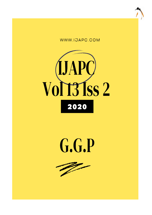





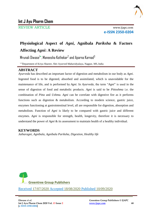

REVIEW ARTICLE www.ijapc.com

**e-ISSN 2350-0204**

# **Physiological Aspect of** *Agni***, Agnibala** *Pariksha* **& Factors Affecting** *Agni***: A Review**

Mrunali Diwase $^{!*}$ , Maneesha Kothekar $^2$  and Aparna Karnad $^3$ 

1-3Department of Kriya Shareer, Shri Ayurved Mahavidyalaya, Nagpur, MS, India

# **ABSTRACT**

*Ayurveda* has described an important factor of digestion and metabolism in our body as *Agni*. Ingested food is to be digested, absorbed and assimilated, which is unavoidable for the maintenance of life, and is performed by *Agni*. In *Ayurveda*, the term "*Agni*" is used in the sense of digestion of food and metabolic products. *Agni* is said to be *Pittoshma* i.e. the combination of *Pitta* and *Ushma*. *Agni* can be correlate with digestive fire as it performs functions such as digestion & metabolism. According to modern science, gastric juice, enzymes functioning at gastrointestinal level, all are responsible for digestion, absorption and metabolism. Function of *Agni* is likely to be compared with gastric juice and different enzymes. *Agni* is responsible for strength, health, longevity, therefore it is necessary to understand the power of *Agni* & its assessment to maintain health of a healthy individual.

## **KEYWORDS**

*Jatharagni, Agnibala, Agnibala Pariksha, Digestion, Healthy life*



\_\_\_\_\_\_\_\_\_\_\_\_\_\_\_\_\_\_\_\_\_\_\_\_\_\_\_\_\_\_\_\_\_\_\_\_\_\_\_\_\_\_\_\_\_\_\_\_\_\_\_\_\_\_\_\_\_\_\_\_\_\_\_\_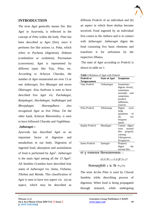

## **INTRODUCTION**

The term *Agni* generally means fire. But *Agni* in Ayurveda, is reflected in the concept of *Pitta* within the body. *Pitta* has been described as *Agni* (fire), since it performs fire like actions i.e. *Paka*, which refers to *Pachana* (digestion), *Dahana* (combultion or oxidation), *Parinaman* (convertion). *Agni* is represented by different types like *Teja*, *Pitta*, etc. According to *Acharya Charaka*, the number of *Agni* enumerated are over 13 as one *Jatharagni*, five *Bhutagni* and seven *Dhatvagni*. Also *Sushruta* is seen to have described five *Agni* viz. *Pachakagni*, *Ranjakagni*, *Alochakagni*, *Sadhakagni* and *Bhrajakagni*. *Sharangdhara* also recognized *Agni* as five *Pittas*. On the other hand, *Acharya* Bhavmishra, is seen to have followed *Charaka* and *Vaghbhata*.

#### *Jatharagni* **:-**

*Ayurveda* has described *Agni* as an important factor of digestion and metabolism in our body. Digestion of ingested food, absorption and assimilation of food is performed by *Agni*<sup>1</sup> . *Jatharagni* is the main *Agni* among all the 13 *Agni*<sup>2</sup> . All *Samhita Granthas* have described four states of *Jatharagni* viz, *Sama*, *Vishama*, *Tikshna* and *Manda*. This classification of *Agni* is seen to have two aspect viz . (a) an aspect, which may be described as

different *Prakriti* of an individual and (b) an aspect in which three doshas become involved. Food ingested by an individual first comes to the *Jathara* and is in contact with *Jatharagni*. *Jatharagni* digest the food consisting five basic elements and transform it for utilization by the respective *Dhatus*.

The state of *Agni* according to *Prakriti* is shown in table no 1.

| Prakriti or        | <b>State of Agni</b> | <b>Symptoms</b>  |
|--------------------|----------------------|------------------|
| <b>Temperament</b> |                      |                  |
| Vata Prakriti      | Vishamagni           | Sometimes        |
|                    |                      | digests slowly,  |
|                    |                      | sometimes        |
|                    |                      | normally<br>and  |
|                    |                      | sometimes        |
|                    |                      | produce          |
|                    |                      | Adhmana,         |
|                    |                      | Gauray.          |
| Pitta Prakriti     | Tikshnangi           | Digest<br>even   |
|                    |                      | large            |
|                    |                      | quantities<br>of |
|                    |                      | all,<br>too      |
|                    |                      | frequent         |
|                    |                      | meals.           |
| Kapha Prakriti     | Mandagni             | Cannot digest    |
|                    |                      | normal<br>even   |
|                    |                      | diet<br>properly |
|                    |                      | causing          |
|                    |                      | Udargaurav,      |
|                    |                      | Sirogaurav.      |
| Sama Prakriti      | Samagni              | Properly         |
|                    |                      | digest<br>the    |
|                    |                      | normal diet.     |
|                    | ᅲᅂ                   |                  |

**Table 1** Relation of Agni with Prakriti

पर तु पच्यमानस्य विदग्धस्याम्लभावत: ।

 $\mathcal{L}_\mathcal{L}$  , and the contribution of the contribution of the contribution of the contribution of the contribution of the contribution of the contribution of the contribution of the contribution of the contribution of

#### ALZIrMccrLuIqMlIxrL

पित्तमच्छमुदीर्यते ॥ च. चि १५/१०

The term *Accha Pitta* is used by *Charak Samhita* while describing process of digestion. When food is being propagated through stomach, while undergoing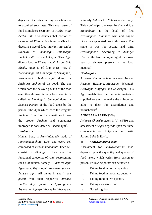

digestion, it creates burning sensation due to acquired sour taste. This sour taste of food stimulates secretion of *Accha Pitta*. *Accha Pitta* also denotes that portion of secretion of *Pitta*, which is responsible for digestive stage of food. *Accha Pitta* can be synonym of *Pachakagni*, *Jatharagni*, *Pachak Pitta* or *Pachakagni*. This *Agni* digests food to *Vipaka* stage<sup>3</sup> . As per *Bala Bheda*, *Agni* is of four types<sup>4</sup> viz. a) *Teekshanagni* b) *Mandagni* c) *Samagni* d) *Vishamagni. Teekshanagni* does the *Atishigra pachan* of the food. The one which does the delayed *pachan* of the food even though taken in very less quantity, is called as *Mandagni*<sup>5</sup> . *Samagni* does the *Samyak pachan* of the food taken by the person. The *Agni* which does the irregular *Pachan* of the food *i.e* sometimes it does the proper *Pachan* and sometimes improper, is considered as *Vishamagni*<sup>6</sup> .

#### *Bhutagni* **:-**

Human body is *Panchabhautik* made of *Panchamahabhuta*. Each and every cell composed of *Panchamahabhuta*. Each cell consist of *Bhutagni*. There are five functional categories of *Agni*, representing each *Mahabhuta*, namely – *Parthiva agni*, *Apya agni*, *Taijas agni*, *Vayaviya agni* and *Akasiya agni*. All *gunas* in *sharir* gets *pushti* from their respective *Amshas*. *Parthiv Apya gunas* for *Apya gunas*, *Agneya* for *Agneya*, *Vayvey* for *Vayvey* and

similarly *Nabhas* for *Nabhas* respectively. This *Agni* helps to release *Parthiv* and *Apa Mahabhuta* at the level of first *Avasthapaka*. *Madhura rasa* and *Kapha Dosha* are generated due to this event. The same is true for second and third *Avasthapaka*7. According to *Acharya Charak*, the five *Bhutagni* digest their own part of element present in the food material<sup>8</sup>.

#### *Dhatvagni***:-**

All seven *Dhatu* contain their own *Agni* as *Rasagni*, *Raktagni*, *Mamsagni*, *Medagni*, *Asthyagni*, *Majjagni* and *Shukragni*. This *Agni* metabolize the nutrients materials supplied to them to make the substances alike to them for assimilation and nourishment<sup>9</sup>.

#### **AGNIBALA PARIKSHA:**

*Acharya Charaka* states in Vi. (8/89) that assessment of *Agni* depends upon the three components viz. *Abhyavaharana Sakti*, *Jarana Sakti* & *Ruchi*.

#### **1)** *Abhyavaharana sakti*

Assessment for *Abhyavaharana sakti* depends upon the quantity and quality of food taken, which varies from person to person. Following points can be noted :

- i. Taking food in normal quantity
- ii. Taking food in moderate quantity
- iii. Taking food in less quantity
- iv. Taking excessive food
- v. Not taking food

 $\mathcal{L}_\mathcal{L}$  , and the contribution of the contribution of the contribution of the contribution of the contribution of the contribution of the contribution of the contribution of the contribution of the contribution of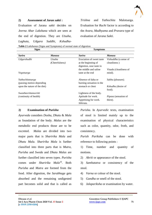

#### **2) Assessment of** *Jaran sakti* **:**

Evaluation of Jarana *sakti* decides on *Jeerna Ahar Lakshana* which are seen at the end of digestion. They are *Utsaha*, *Laghuta*, *Udgara Suddhi*, *Kshudha*- *Trishna* and *Yathochita* Malotsarga. Evaluation for *Ruchi* factor is according to the *Avara*, *Madhyama* and *Pravara* type of evaluation of *Jarana Sakti*.

**Table 2** *Lakshanas* (Signs and Symptoms) of normal state of digestion

| <b>Signs</b>                 |                | <b>Symptoms</b>           |                               |  |
|------------------------------|----------------|---------------------------|-------------------------------|--|
| <b>Sarira</b>                | Manasa         | <b>Sarira</b>             | Manasa                        |  |
| Udgarshudhi                  | Utsaha         | Eructation of sweet taste | <i>Vishuddha</i> (a sense of  |  |
|                              | (Cheerfulness) | at the beginning of       | cleanliness)                  |  |
|                              |                | digestion, sour taste in  |                               |  |
|                              |                | the middle and saline     | <i>Visada</i> (cleanliness of |  |
| Vegotsarga                   |                | taste at the end          | mind).                        |  |
| Yathochitotsarga             |                | Absence of daha or        | <i>Sukha</i> (pleasure).      |  |
| (passing motion depending)   |                | burning sensation in the  |                               |  |
| upon the nature of the diet) |                | stomach or chest          | <i>Kshudha</i> (desire of     |  |
|                              |                |                           | food).                        |  |
| Swasthavrittanuvritti        |                | Lightness of the body.    |                               |  |
| (continuity of health)       |                | Aptitude for work.        | <i>Pipasa</i> (sensation of   |  |
|                              |                | Appetising for work.      | thirst).                      |  |
|                              |                | Sthirata.                 |                               |  |

 $\mathcal{L}_\mathcal{L}$  , and the contribution of the contribution of the contribution of the contribution of the contribution of the contribution of the contribution of the contribution of the contribution of the contribution of

#### *3)* **Examination of** *Purisha*

*Ayurveda* considers *Dosha*, *Dhatu* & *Mala* as foundation of the body. *Malas* are the metabolic end products those are to be excreted. *Malas* are divided into two major parts that is *Sharirika Mala* and *Dhatu Mala*. *Sharirika Mala* is further classified into three parts that is *Mutra*, *Purisha* and *Sweda* and *Dhatu Malas* are further classified into seven types. *Purisha* comes under *Sharirika Mala*<sup>10</sup>. Both *Purisha* and *Mutra* are formed from the food. After digestion, the *Sarabhaga* gets absorbed and the remaining undigested part becomes solid and that is called as

*Purisha*. In *Ayurvedic* texts, examination of stool is limited mainly up to the examination of physical characteristics such as color, quantity, odor, froth, and consistency.

*Purish Pariksha* can be done with reference to following points :

1) Time, number and quantity of motions.

2) *Akriti* or appearance of the stool.

3) *Samhatatva* or consistency of the stool.

- 4) *Varna* or colour of the stool.
- 5) *Gandha* or smell of the stool.
- 6) *Jalapariksha* or examination by water.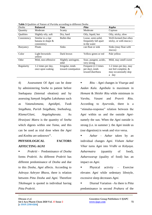

| Dosha       | <b>Balanced</b>                                       | Vata                                    | Pitta                                                       | <b>Kapha</b>                                                                     |
|-------------|-------------------------------------------------------|-----------------------------------------|-------------------------------------------------------------|----------------------------------------------------------------------------------|
| Quantity    | Moderate                                              | Scanty                                  | Moderate                                                    | Copious                                                                          |
| Qualities   | Slightly oily, soft                                   | Dry, hard                               | Oily, liquid, hot                                           | Oily, sticky, slow                                                               |
| Consistency | Similar to a ripe<br>banana in shape &<br>consistency | Bullet-like                             | Loose, semi-solid,<br>frequently fall apart<br>in the water | Well-formed (but often<br>sticky, or with mucus)                                 |
| Buoyancy    | <b>Floats</b>                                         | <b>Sinks</b>                            | can float or sink                                           | Sinks (may float with<br>mucus)                                                  |
| Color       | Light brownish-<br>yellow                             | Dark brown                              | Yellow-green or red                                         | Pale yellow                                                                      |
| Odor        | Mild, non-offensive                                   | Slightly astringent,<br>mlid            | Sour, pungent, acidic,<br>very strong                       | Mild, may smell sweet                                                            |
| Regularity  | 1-2 times per day,<br>once upon waking                | Irregular, tends<br>toward constipation | Frequent (2-3 times)<br>per day), tends<br>toward diarrhoea | 1-2 times per day, may<br>not feel complete, &<br>may occasionally skip<br>a day |

 $\mathcal{L}_\mathcal{L}$  , and the contribution of the contribution of the contribution of the contribution of the contribution of the contribution of the contribution of the contribution of the contribution of the contribution of

**Table 3** Qualities of Nature of *Purisha* according to different *Dosha*

4) Assessment Of *Agni* can be done by administering S*neha* to patient before Snehapana (Internal oleation) and by assessing *Samyak Snigdha Lakshanas* such as *Vatanulomana*, *Agnidipti*, *Twak Snigdhata*, *Purish Snigdhata*, *Snehodveg*, *Klama*/*Glani*, *Angalaghavata*. As *Hrasiyasi Matra* is the quantity of *Sneha* which digests within one *Yama*, and this can be used as trial dose when the *Agni* and *Koshta* are unknown<sup>11</sup>.

# **PHYSIOLOGICAL FACTORS AFFECTING** *AGNI*

 *Prakriti* - Predominance of *Dosha* forms *Prakriti*. As different *Prakriti* has different predominance of *Dosha* and due to this *Dosha*, *Agni* affects. According to *Ashraya Ashryee Bhava*, there is relation between *Pitta Dosha* and *Agni*. Therefore *Tikshnagni* is quoted in individual having *Pitta Prakriti*.

 *Ritu* – *Agni* changes in *Visarga* and *Aadan Kala*. *Agnibala* is maximum in *Hemant* & *Shishir Ritu* while minimum in *Varsha*, *Vasant* and *Pravrit Ritu*. According to *Ayurveda*, there is a "stimulus-response" relation between the *Agni* within us and the outside *Agni*namely the sun. When the *Agni* outside is strong (i.e. in summer ). the *Agni* inside us (our digestion) is weak and vice versa.

 *Aahar* – *Aahar* taken by an individual changes *Agni*. *Visham Aahar Vihar* turns *Agni* into *Vridhi* or *Kshyaya*. *Aaharmatra* (quantity of food), *Aaharswarup* (quality of food) has an impact on *Agni*.

 Physical activity – Exercise elevates *Agni* while sedentary lifestyle, excessive sleep decreases *Agni*.

 Diurnal Variation –As there is *Pitta* predominance in second *Prahara* of the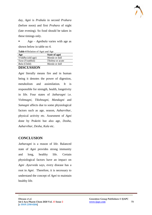day, *Agni* is *Prabala* in second *Prahara* (before noon) and first *Prahara* of night (late evening). So food should be taken in these timings only.

 Age – *Agnibala* varies with age as shown below in table no 4.

**Table 4** Relation of Agni and Age

| Age                      | State of agni           |
|--------------------------|-------------------------|
| <i>Vriddha</i> (old age) | <i>Manda</i> or dull    |
| <i>Yuva</i> (Youthful)   | <i>Tikshna</i> or acute |
| <i>Bala</i> (Child)      | <i>Manda</i> or dull    |
| <b>DIGOTIGOLO NI</b>     |                         |

## **DISCUSSION**

*Agni* literally means fire and in human being it denotes the power of digestion, metabolism and assimilation. It is responsible for strength, health, longetivity in life. Four states of *Jatharagni* i.e. *Vishmagni*, *Tikshnagni*, *Mandagni* and *Samagni* affects due to some physiological factors such as age, season, *Aaharvihar*, physical activity etc. Assesment of *Agni* done by Prakriti but also age, *Dosha*, *Aaharvihar*, *Desha*, *Kala* etc.

# **CONCLUSION**

*Jatharagni* is a reason of life. Balanced state of *Agni* provides strong immunity and long, healthy life. Certain physiological factors have an impact on *Agni* .*Ayurveda* says, every disease has a root in *Agni*. Therefore, it is necessary to understand the concept of *Agni* to maintain healthy life.

 $\mathcal{L}_\mathcal{L}$  , and the contribution of the contribution of the contribution of the contribution of the contribution of the contribution of the contribution of the contribution of the contribution of the contribution of